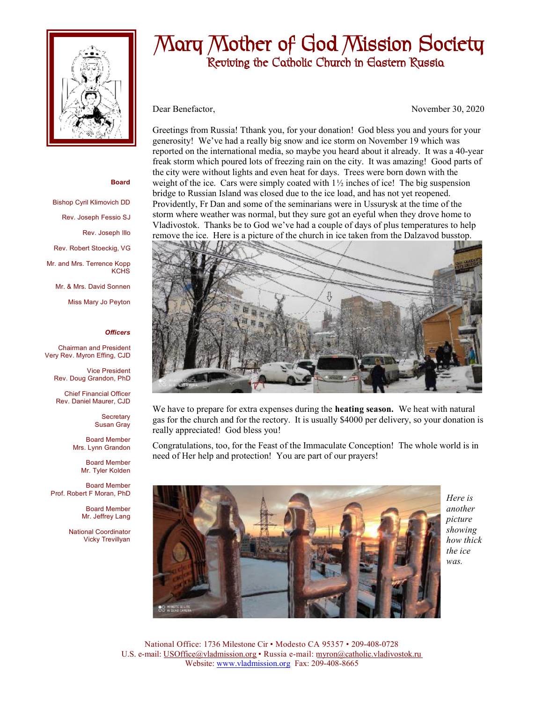

# Mary Mother of God Mission Society Reviving the Catholic Church in Eastern Russia

Dear Benefactor, November 30, 2020

Greetings from Russia! Tthank you, for your donation! God bless you and yours for your generosity! We've had a really big snow and ice storm on November 19 which was reported on the international media, so maybe you heard about it already. It was a 40-year freak storm which poured lots of freezing rain on the city. It was amazing! Good parts of the city were without lights and even heat for days. Trees were born down with the weight of the ice. Cars were simply coated with  $1\frac{1}{2}$  inches of ice! The big suspension bridge to Russian Island was closed due to the ice load, and has not yet reopened. Providently, Fr Dan and some of the seminarians were in Ussurysk at the time of the storm where weather was normal, but they sure got an eyeful when they drove home to Vladivostok. Thanks be to God we've had a couple of days of plus temperatures to help remove the ice. Here is a picture of the church in ice taken from the Dalzavod busstop.



We have to prepare for extra expenses during the **heating season.** We heat with natural gas for the church and for the rectory. It is usually \$4000 per delivery, so your donation is really appreciated! God bless you!

Congratulations, too, for the Feast of the Immaculate Conception! The whole world is in need of Her help and protection! You are part of our prayers!



*Here is another picture showing how thick the ice was.* 

National Office: 1736 Milestone Cir • Modesto CA 95357 • 209-408-0728 U.S. e-mail: [USOffice@vladmission.org](mailto:USOffice@vladmission.org) • Russia e-mail: [myron@catholic.vladivostok.ru](mailto:myron@catholic.vladivostok.ru)  Website: [www.vladmission.org](http://www.vladmission.org) Fax: 209-408-8665

### **Board**

Bishop Cyril Klimovich DD Rev. Joseph Fessio SJ Rev. Joseph Illo Rev. Robert Stoeckig, VG Mr. and Mrs. Terrence Kopp **KCHS** Mr. & Mrs. David Sonnen

Miss Mary Jo Peyton

### *Officers*

Chairman and President Very Rev. Myron Effing, CJD

Vice President Rev. Doug Grandon, PhD

Chief Financial Officer Rev. Daniel Maurer, CJD

> **Secretary** Susan Gray

Board Member Mrs. Lynn Grandon

Board Member Mr. Tyler Kolden

Board Member Prof. Robert F Moran, PhD

> Board Member Mr. Jeffrey Lang

National Coordinator Vicky Trevillyan